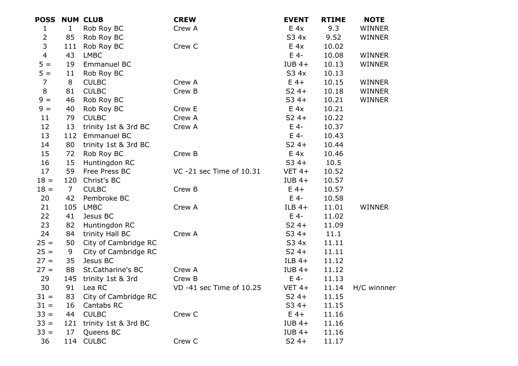| <b>POSS</b>    |                | <b>NUM CLUB</b>      | <b>CREW</b>              | <b>EVENT</b> | <b>RTIME</b> | <b>NOTE</b>   |
|----------------|----------------|----------------------|--------------------------|--------------|--------------|---------------|
| $\mathbf 1$    | $\mathbf{1}$   | Rob Roy BC           | Crew A                   | E 4x         | 9.3          | WINNER        |
| $\overline{2}$ | 85             | Rob Roy BC           |                          | S3 4x        | 9.52         | WINNER        |
| $\mathsf{3}$   | 111            | Rob Roy BC           | Crew C                   | E 4x         | 10.02        |               |
| $\overline{4}$ | 43             | <b>LMBC</b>          |                          | $E$ 4-       | 10.08        | WINNER        |
| $5 =$          | 19             | <b>Emmanuel BC</b>   |                          | $IUB$ 4+     | 10.13        | <b>WINNER</b> |
| $5 =$          | 11             | Rob Roy BC           |                          | S3 4x        | 10.13        |               |
| $\overline{7}$ | 8              | <b>CULBC</b>         | Crew A                   | $E$ 4+       | 10.15        | WINNER        |
| 8              | 81             | <b>CULBC</b>         | Crew B                   | $S24+$       | 10.18        | <b>WINNER</b> |
| $9 =$          | 46             | Rob Roy BC           |                          | $S34+$       | 10.21        | <b>WINNER</b> |
| $9 =$          | 40             | Rob Roy BC           | Crew E                   | E 4x         | 10.21        |               |
| 11             | 79             | <b>CULBC</b>         | Crew A                   | $S24+$       | 10.22        |               |
| 12             | 13             | trinity 1st & 3rd BC | Crew A                   | $E$ 4-       | 10.37        |               |
| 13             | 112            | <b>Emmanuel BC</b>   |                          | $E$ 4-       | 10.43        |               |
| 14             | 80             | trinity 1st & 3rd BC |                          | $S24+$       | 10.44        |               |
| 15             | 72             | Rob Roy BC           | Crew B                   | E 4x         | 10.46        |               |
| 16             | 15             | Huntingdon RC        |                          | $S34+$       | 10.5         |               |
| 17             | 59             | Free Press BC        | VC -21 sec Time of 10.31 | $VET 4+$     | 10.52        |               |
| $18 =$         | 120            | Christ's BC          |                          | $IUB$ 4+     | 10.57        |               |
| $18 =$         | $\overline{7}$ | <b>CULBC</b>         | Crew B                   | $E$ 4+       | 10.57        |               |
| 20             | 42             | Pembroke BC          |                          | $E$ 4-       | 10.58        |               |
| 21             | 105            | <b>LMBC</b>          | Crew A                   | ILB $4+$     | 11.01        | WINNER        |
| 22             | 41             | Jesus BC             |                          | $E$ 4-       | 11.02        |               |
| 23             | 82             | Huntingdon RC        |                          | $S24+$       | 11.09        |               |
| 24             | 84             | trinity Hall BC      | Crew A                   | $S34+$       | 11.1         |               |
| $25 =$         | 50             | City of Cambridge RC |                          | S3 4x        | 11.11        |               |
| $25 =$         | 9              | City of Cambridge RC |                          | $S24+$       | 11.11        |               |
| $27 =$         | 35             | Jesus BC             |                          | $ILB$ 4+     | 11.12        |               |
| $27 =$         | 88             | St.Catharine's BC    | Crew A                   | $IUB 4+$     | 11.12        |               |
| 29             | 145            | trinity 1st & 3rd    | Crew B                   | $E$ 4-       | 11.13        |               |
| 30             | 91             | Lea RC               | VD -41 sec Time of 10.25 | $VET 4+$     | 11.14        | H/C winnner   |
| $31 =$         | 83             | City of Cambridge RC |                          | $S24+$       | 11.15        |               |
| $31 =$         | 16             | Cantabs RC           |                          | $S34+$       | 11.15        |               |
| $33 =$         | 44             | <b>CULBC</b>         | Crew C                   | $E$ 4+       | 11.16        |               |
| $33 =$         | 121            | trinity 1st & 3rd BC |                          | $IUB$ 4+     | 11.16        |               |
| $33 =$         | 17             | Queens BC            |                          | $IUB$ 4+     | 11.16        |               |
| 36             |                | 114 CULBC            | Crew C                   | $S24+$       | 11.17        |               |
|                |                |                      |                          |              |              |               |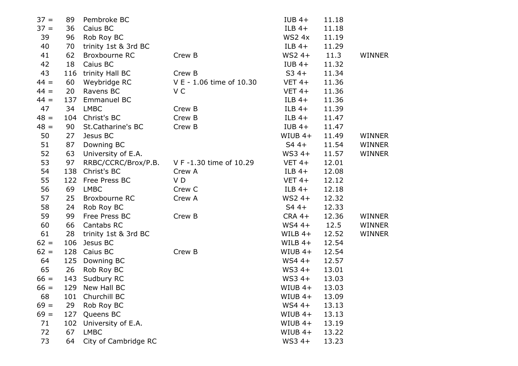| $37 =$ | 89  | Pembroke BC          |                          | $IUB$ 4+      | 11.18 |               |
|--------|-----|----------------------|--------------------------|---------------|-------|---------------|
| $37 =$ | 36  | Caius BC             |                          | $ILB$ 4+      | 11.18 |               |
| 39     | 96  | Rob Roy BC           |                          | <b>WS2 4x</b> | 11.19 |               |
| 40     | 70  | trinity 1st & 3rd BC |                          | $ILB$ 4+      | 11.29 |               |
| 41     | 62  | Broxbourne RC        | Crew B                   | $WS24+$       | 11.3  | <b>WINNER</b> |
| 42     | 18  | Caius BC             |                          | $IUB$ 4+      | 11.32 |               |
| 43     | 116 | trinity Hall BC      | Crew B                   | $S34+$        | 11.34 |               |
| $44 =$ | 60  | Weybridge RC         | V E - 1.06 time of 10.30 | $VET 4+$      | 11.36 |               |
| $44 =$ | 20  | Ravens BC            | V C                      | $VET 4+$      | 11.36 |               |
| $44 =$ | 137 | Emmanuel BC          |                          | ILB $4+$      | 11.36 |               |
| 47     | 34  | <b>LMBC</b>          | Crew B                   | $ILB$ 4+      | 11.39 |               |
| $48 =$ | 104 | Christ's BC          | Crew B                   | ILB $4+$      | 11.47 |               |
| $48 =$ | 90  | St.Catharine's BC    | Crew B                   | $IUB$ 4+      | 11.47 |               |
| 50     | 27  | Jesus BC             |                          | $WIUB$ 4+     | 11.49 | <b>WINNER</b> |
| 51     | 87  | Downing BC           |                          | $S44+$        | 11.54 | <b>WINNER</b> |
| 52     | 63  | University of E.A.   |                          | $WS34+$       | 11.57 | <b>WINNER</b> |
| 53     | 97  | RRBC/CCRC/Brox/P.B.  | V F -1.30 time of 10.29  | $VET 4+$      | 12.01 |               |
| 54     | 138 | Christ's BC          | Crew A                   | ILB $4+$      | 12.08 |               |
| 55     | 122 | Free Press BC        | VD                       | $VET 4+$      | 12.12 |               |
| 56     | 69  | <b>LMBC</b>          | Crew C                   | ILB $4+$      | 12.18 |               |
| 57     | 25  | Broxbourne RC        | Crew A                   | $WS24+$       | 12.32 |               |
| 58     | 24  | Rob Roy BC           |                          | $S44+$        | 12.33 |               |
| 59     | 99  | Free Press BC        | Crew B                   | $CRA$ 4+      | 12.36 | <b>WINNER</b> |
| 60     | 66  | Cantabs RC           |                          | $WS4 +$       | 12.5  | <b>WINNER</b> |
| 61     | 28  | trinity 1st & 3rd BC |                          | WILB $4+$     | 12.52 | <b>WINNER</b> |
| $62 =$ | 106 | Jesus BC             |                          | WILB $4+$     | 12.54 |               |
| $62 =$ | 128 | Caius BC             | Crew B                   | $WIUB$ 4+     | 12.54 |               |
| 64     | 125 | Downing BC           |                          | $WS4 +$       | 12.57 |               |
| 65     | 26  | Rob Roy BC           |                          | $WS34+$       | 13.01 |               |
| $66 =$ | 143 | Sudbury RC           |                          | $WS34+$       | 13.03 |               |
| $66 =$ | 129 | New Hall BC          |                          | $WIUB$ 4+     | 13.03 |               |
| 68     | 101 | Churchill BC         |                          | $WIUB$ 4+     | 13.09 |               |
| $69 =$ | 29  | Rob Roy BC           |                          | $WS4 +$       | 13.13 |               |
| $69 =$ | 127 | Queens BC            |                          | $WIUB$ 4+     | 13.13 |               |
| 71     | 102 | University of E.A.   |                          | $WIUB$ 4+     | 13.19 |               |
| 72     | 67  | <b>LMBC</b>          |                          | $WIUB$ 4+     | 13.22 |               |
| 73     | 64  | City of Cambridge RC |                          | $WS34+$       | 13.23 |               |
|        |     |                      |                          |               |       |               |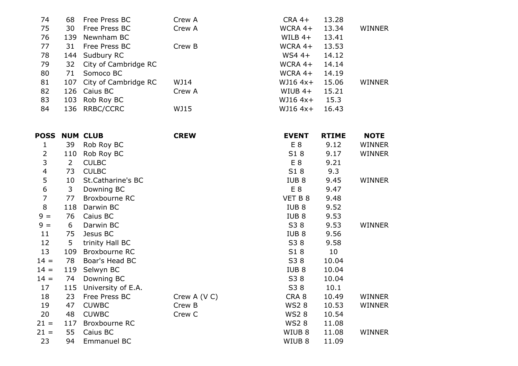| 74 | 68  | Free Press BC            | Crew A | $CRA$ 4+   | 13.28 |               |
|----|-----|--------------------------|--------|------------|-------|---------------|
| 75 | 30  | Free Press BC            | Crew A | WCRA 4+    | 13.34 | <b>WINNER</b> |
| 76 | 139 | Newnham BC               |        | WILB $4+$  | 13.41 |               |
| 77 | 31  | Free Press BC            | Crew B | WCRA 4+    | 13.53 |               |
| 78 |     | 144 Sudbury RC           |        | $WS4 +$    | 14.12 |               |
| 79 |     | 32 City of Cambridge RC  |        | WCRA $4+$  | 14.14 |               |
| 80 | 71  | Somoco BC                |        | WCRA $4+$  | 14.19 |               |
| 81 |     | 107 City of Cambridge RC | WJ14   | $WJ16 4x+$ | 15.06 | <b>WINNER</b> |
| 82 |     | 126 Caius BC             | Crew A | WIUB $4+$  | 15.21 |               |
| 83 |     | 103 Rob Roy BC           |        | WJ16 4x+   | 15.3  |               |
| 84 |     | 136 RRBC/CCRC            | WJ15   | $WJ16 4x+$ | 16.43 |               |
|    |     |                          |        |            |       |               |

| <b>POSS</b>      |                | <b>NUM CLUB</b>    | <b>CREW</b>  | <b>EVENT</b>      | <b>RTIME</b> | <b>NOTE</b>   |
|------------------|----------------|--------------------|--------------|-------------------|--------------|---------------|
| 1                | 39             | Rob Roy BC         |              | E <sub>8</sub>    | 9.12         | <b>WINNER</b> |
| 2                | 110            | Rob Roy BC         |              | S18               | 9.17         | <b>WINNER</b> |
| 3                | $\overline{2}$ | <b>CULBC</b>       |              | E <sub>8</sub>    | 9.21         |               |
| $\overline{4}$   | 73             | <b>CULBC</b>       |              | S18               | 9.3          |               |
| 5                | 10             | St.Catharine's BC  |              | IUB <sub>8</sub>  | 9.45         | WINNER        |
| $\boldsymbol{6}$ | 3              | Downing BC         |              | E 8               | 9.47         |               |
| $\overline{7}$   | 77             | Broxbourne RC      |              | VET B 8           | 9.48         |               |
| $\, 8$           | 118            | Darwin BC          |              | IUB <sub>8</sub>  | 9.52         |               |
| $9 =$            | 76             | Caius BC           |              | IUB <sub>8</sub>  | 9.53         |               |
| $9 =$            | 6              | Darwin BC          |              | S38               | 9.53         | <b>WINNER</b> |
| 11               | 75             | Jesus BC           |              | IUB <sub>8</sub>  | 9.56         |               |
| 12               | 5              | trinity Hall BC    |              | S38               | 9.58         |               |
| 13               | 109            | Broxbourne RC      |              | S18               | 10           |               |
| $14 =$           | 78             | Boar's Head BC     |              | S38               | 10.04        |               |
| $14 =$           | 119            | Selwyn BC          |              | IUB <sub>8</sub>  | 10.04        |               |
| $14 =$           | 74             | Downing BC         |              | S38               | 10.04        |               |
| 17               | 115            | University of E.A. |              | S38               | 10.1         |               |
| 18               | 23             | Free Press BC      | Crew A (V C) | CRA <sub>8</sub>  | 10.49        | WINNER        |
| 19               | 47             | <b>CUWBC</b>       | Crew B       | <b>WS28</b>       | 10.53        | <b>WINNER</b> |
| 20               | 48             | <b>CUWBC</b>       | Crew C       | <b>WS28</b>       | 10.54        |               |
| $21 =$           | 117            | Broxbourne RC      |              | <b>WS28</b>       | 11.08        |               |
| $21 =$           | 55             | Caius BC           |              | WIUB <sub>8</sub> | 11.08        | WINNER        |
| 23               | 94             | Emmanuel BC        |              | WIUB <sub>8</sub> | 11.09        |               |